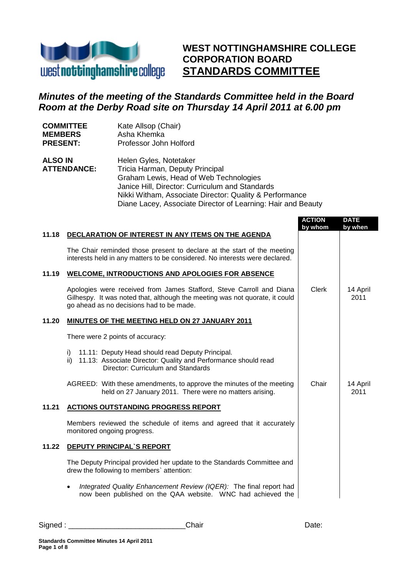

**WEST NOTTINGHAMSHIRE COLLEGE CORPORATION BOARD STANDARDS COMMITTEE**

# *Minutes of the meeting of the Standards Committee held in the Board Room at the Derby Road site on Thursday 14 April 2011 at 6.00 pm*

| <b>COMMITTEE</b> | Kate Allsop (Chair)    |
|------------------|------------------------|
| <b>MEMBERS</b>   | Asha Khemka            |
| <b>PRESENT:</b>  | Professor John Holford |

| <b>ALSO IN</b>     | Helen Gyles, Notetaker                                       |
|--------------------|--------------------------------------------------------------|
| <b>ATTENDANCE:</b> | Tricia Harman, Deputy Principal                              |
|                    | Graham Lewis, Head of Web Technologies                       |
|                    | Janice Hill, Director: Curriculum and Standards              |
|                    | Nikki Witham, Associate Director: Quality & Performance      |
|                    | Diane Lacey, Associate Director of Learning: Hair and Beauty |

|       |                                                                                                                                                                                                 | <b>ACTION</b><br>by whom | <b>DATE</b><br>by when |
|-------|-------------------------------------------------------------------------------------------------------------------------------------------------------------------------------------------------|--------------------------|------------------------|
| 11.18 | DECLARATION OF INTEREST IN ANY ITEMS ON THE AGENDA                                                                                                                                              |                          |                        |
|       | The Chair reminded those present to declare at the start of the meeting<br>interests held in any matters to be considered. No interests were declared.                                          |                          |                        |
| 11.19 | <b>WELCOME, INTRODUCTIONS AND APOLOGIES FOR ABSENCE</b>                                                                                                                                         |                          |                        |
|       | Apologies were received from James Stafford, Steve Carroll and Diana<br>Gilhespy. It was noted that, although the meeting was not quorate, it could<br>go ahead as no decisions had to be made. | <b>Clerk</b>             | 14 April<br>2011       |
| 11.20 | <b>MINUTES OF THE MEETING HELD ON 27 JANUARY 2011</b>                                                                                                                                           |                          |                        |
|       | There were 2 points of accuracy:                                                                                                                                                                |                          |                        |
|       | 11.11: Deputy Head should read Deputy Principal.<br>i)<br>11.13: Associate Director: Quality and Performance should read<br>ii)<br>Director: Curriculum and Standards                           |                          |                        |
|       | AGREED: With these amendments, to approve the minutes of the meeting<br>held on 27 January 2011. There were no matters arising.                                                                 | Chair                    | 14 April<br>2011       |
| 11.21 | <b>ACTIONS OUTSTANDING PROGRESS REPORT</b>                                                                                                                                                      |                          |                        |
|       | Members reviewed the schedule of items and agreed that it accurately<br>monitored ongoing progress.                                                                                             |                          |                        |
| 11.22 | <b>DEPUTY PRINCIPAL'S REPORT</b>                                                                                                                                                                |                          |                        |
|       | The Deputy Principal provided her update to the Standards Committee and<br>drew the following to members' attention:                                                                            |                          |                        |
|       | Integrated Quality Enhancement Review (IQER): The final report had<br>now been published on the QAA website. WNC had achieved the                                                               |                          |                        |

| Signed | iair<br>.<br>______ | aw. |
|--------|---------------------|-----|
|        |                     |     |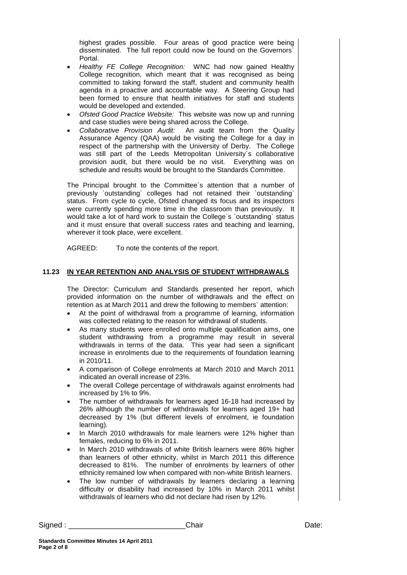highest grades possible. Four areas of good practice were being disseminated. The full report could now be found on the Governors` Portal.

- *Healthy FE College Recognition:* WNC had now gained Healthy College recognition, which meant that it was recognised as being committed to taking forward the staff, student and community health agenda in a proactive and accountable way. A Steering Group had been formed to ensure that health initiatives for staff and students would be developed and extended.
- *Ofsted Good Practice Website:* This website was now up and running and case studies were being shared across the College.
- *Collaborative Provision Audit:* An audit team from the Quality Assurance Agency (QAA) would be visiting the College for a day in respect of the partnership with the University of Derby. The College was still part of the Leeds Metropolitan University`s collaborative provision audit, but there would be no visit. Everything was on schedule and results would be brought to the Standards Committee.

The Principal brought to the Committee`s attention that a number of previously `outstanding` colleges had not retained their `outstanding` status. From cycle to cycle, Ofsted changed its focus and its inspectors were currently spending more time in the classroom than previously. It would take a lot of hard work to sustain the College`s `outstanding` status and it must ensure that overall success rates and teaching and learning, wherever it took place, were excellent.

AGREED: To note the contents of the report.

#### **11.23 IN YEAR RETENTION AND ANALYSIS OF STUDENT WITHDRAWALS**

The Director: Curriculum and Standards presented her report, which provided information on the number of withdrawals and the effect on retention as at March 2011 and drew the following to members` attention:

- At the point of withdrawal from a programme of learning, information was collected relating to the reason for withdrawal of students.
- As many students were enrolled onto multiple qualification aims, one student withdrawing from a programme may result in several withdrawals in terms of the data. This year had seen a significant increase in enrolments due to the requirements of foundation learning in 2010/11.
- A comparison of College enrolments at March 2010 and March 2011 indicated an overall increase of 23%.
- The overall College percentage of withdrawals against enrolments had increased by 1% to 9%.
- The number of withdrawals for learners aged 16-18 had increased by 26% although the number of withdrawals for learners aged 19+ had decreased by 1% (but different levels of enrolment, ie foundation learning).
- In March 2010 withdrawals for male learners were 12% higher than females, reducing to 6% in 2011.
- In March 2010 withdrawals of white British learners were 86% higher than learners of other ethnicity, whilst in March 2011 this difference decreased to 81%. The number of enrolments by learners of other ethnicity remained low when compared with non-white British learners.
- The low number of withdrawals by learners declaring a learning difficulty or disability had increased by 10% in March 2011 whilst withdrawals of learners who did not declare had risen by 12%.

Signed : \_\_\_\_\_\_\_\_\_\_\_\_\_\_\_\_\_\_\_\_\_\_\_\_\_\_\_\_Chair Date: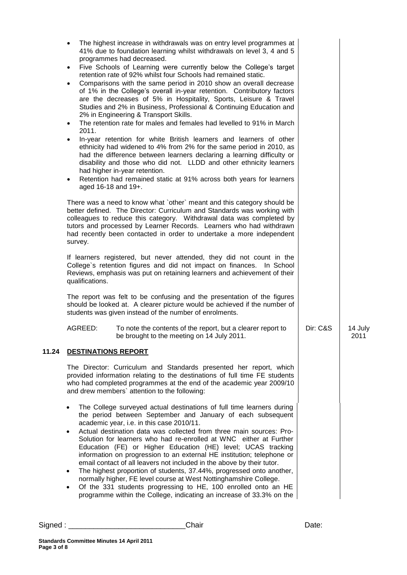|       | The highest increase in withdrawals was on entry level programmes at<br>41% due to foundation learning whilst withdrawals on level 3, 4 and 5<br>programmes had decreased.<br>Five Schools of Learning were currently below the College's target<br>$\bullet$<br>retention rate of 92% whilst four Schools had remained static.<br>Comparisons with the same period in 2010 show an overall decrease<br>$\bullet$<br>of 1% in the College's overall in-year retention. Contributory factors<br>are the decreases of 5% in Hospitality, Sports, Leisure & Travel<br>Studies and 2% in Business, Professional & Continuing Education and<br>2% in Engineering & Transport Skills.<br>The retention rate for males and females had levelled to 91% in March<br>$\bullet$<br>2011.<br>In-year retention for white British learners and learners of other<br>ethnicity had widened to 4% from 2% for the same period in 2010, as<br>had the difference between learners declaring a learning difficulty or<br>disability and those who did not. LLDD and other ethnicity learners<br>had higher in-year retention.<br>Retention had remained static at 91% across both years for learners<br>$\bullet$<br>aged 16-18 and 19+. |          |                 |
|-------|--------------------------------------------------------------------------------------------------------------------------------------------------------------------------------------------------------------------------------------------------------------------------------------------------------------------------------------------------------------------------------------------------------------------------------------------------------------------------------------------------------------------------------------------------------------------------------------------------------------------------------------------------------------------------------------------------------------------------------------------------------------------------------------------------------------------------------------------------------------------------------------------------------------------------------------------------------------------------------------------------------------------------------------------------------------------------------------------------------------------------------------------------------------------------------------------------------------------------|----------|-----------------|
|       | There was a need to know what `other` meant and this category should be<br>better defined. The Director: Curriculum and Standards was working with<br>colleagues to reduce this category. Withdrawal data was completed by<br>tutors and processed by Learner Records. Learners who had withdrawn<br>had recently been contacted in order to undertake a more independent<br>survey.                                                                                                                                                                                                                                                                                                                                                                                                                                                                                                                                                                                                                                                                                                                                                                                                                                     |          |                 |
|       | If learners registered, but never attended, they did not count in the<br>College's retention figures and did not impact on finances. In School<br>Reviews, emphasis was put on retaining learners and achievement of their<br>qualifications.                                                                                                                                                                                                                                                                                                                                                                                                                                                                                                                                                                                                                                                                                                                                                                                                                                                                                                                                                                            |          |                 |
|       | The report was felt to be confusing and the presentation of the figures<br>should be looked at. A clearer picture would be achieved if the number of<br>students was given instead of the number of enrolments.                                                                                                                                                                                                                                                                                                                                                                                                                                                                                                                                                                                                                                                                                                                                                                                                                                                                                                                                                                                                          |          |                 |
|       | AGREED:<br>To note the contents of the report, but a clearer report to<br>be brought to the meeting on 14 July 2011.                                                                                                                                                                                                                                                                                                                                                                                                                                                                                                                                                                                                                                                                                                                                                                                                                                                                                                                                                                                                                                                                                                     | Dir: C&S | 14 July<br>2011 |
| 11.24 | <b>DESTINATIONS REPORT</b>                                                                                                                                                                                                                                                                                                                                                                                                                                                                                                                                                                                                                                                                                                                                                                                                                                                                                                                                                                                                                                                                                                                                                                                               |          |                 |
|       | The Director: Curriculum and Standards presented her report, which<br>provided information relating to the destinations of full time FE students<br>who had completed programmes at the end of the academic year 2009/10<br>and drew members' attention to the following:                                                                                                                                                                                                                                                                                                                                                                                                                                                                                                                                                                                                                                                                                                                                                                                                                                                                                                                                                |          |                 |
|       | The College surveyed actual destinations of full time learners during<br>$\bullet$<br>the period between September and January of each subsequent<br>academic year, i.e. in this case 2010/11.<br>Actual destination data was collected from three main sources: Pro-<br>$\bullet$<br>Solution for learners who had re-enrolled at WNC either at Further<br>Education (FE) or Higher Education (HE) level; UCAS tracking<br>information on progression to an external HE institution; telephone or<br>email contact of all leavers not included in the above by their tutor.<br>The highest proportion of students, 37.44%, progressed onto another,<br>$\bullet$<br>normally higher, FE level course at West Nottinghamshire College.<br>Of the 331 students progressing to HE, 100 enrolled onto an HE<br>$\bullet$<br>programme within the College, indicating an increase of 33.3% on the                                                                                                                                                                                                                                                                                                                            |          |                 |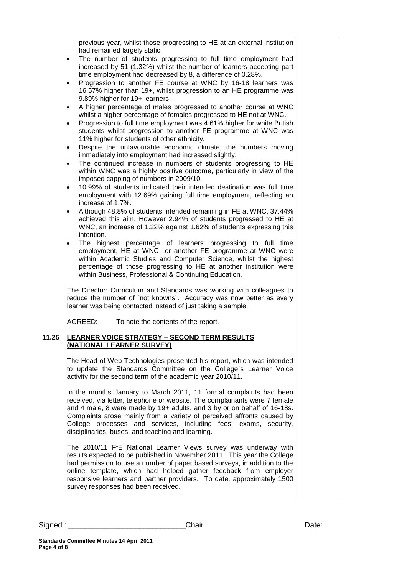previous year, whilst those progressing to HE at an external institution had remained largely static.

- The number of students progressing to full time employment had increased by 51 (1.32%) whilst the number of learners accepting part time employment had decreased by 8, a difference of 0.28%.
- Progression to another FE course at WNC by 16-18 learners was 16.57% higher than 19+, whilst progression to an HE programme was 9.89% higher for 19+ learners.
- A higher percentage of males progressed to another course at WNC whilst a higher percentage of females progressed to HE not at WNC.
- Progression to full time employment was 4.61% higher for white British students whilst progression to another FE programme at WNC was 11% higher for students of other ethnicity.
- Despite the unfavourable economic climate, the numbers moving immediately into employment had increased slightly.
- The continued increase in numbers of students progressing to HE within WNC was a highly positive outcome, particularly in view of the imposed capping of numbers in 2009/10.
- 10.99% of students indicated their intended destination was full time employment with 12.69% gaining full time employment, reflecting an increase of 1.7%.
- Although 48.8% of students intended remaining in FE at WNC, 37.44% achieved this aim. However 2.94% of students progressed to HE at WNC, an increase of 1.22% against 1.62% of students expressing this intention.
- The highest percentage of learners progressing to full time employment, HE at WNC or another FE programme at WNC were within Academic Studies and Computer Science, whilst the highest percentage of those progressing to HE at another institution were within Business, Professional & Continuing Education.

The Director: Curriculum and Standards was working with colleagues to reduce the number of `not knowns`. Accuracy was now better as every learner was being contacted instead of just taking a sample.

AGREED: To note the contents of the report.

#### **11.25 LEARNER VOICE STRATEGY – SECOND TERM RESULTS (NATIONAL LEARNER SURVEY)**

The Head of Web Technologies presented his report, which was intended to update the Standards Committee on the College`s Learner Voice activity for the second term of the academic year 2010/11.

In the months January to March 2011, 11 formal complaints had been received, via letter, telephone or website. The complainants were 7 female and 4 male, 8 were made by 19+ adults, and 3 by or on behalf of 16-18s. Complaints arose mainly from a variety of perceived affronts caused by College processes and services, including fees, exams, security, disciplinaries, buses, and teaching and learning.

The 2010/11 FfE National Learner Views survey was underway with results expected to be published in November 2011. This year the College had permission to use a number of paper based surveys, in addition to the online template, which had helped gather feedback from employer responsive learners and partner providers. To date, approximately 1500 survey responses had been received.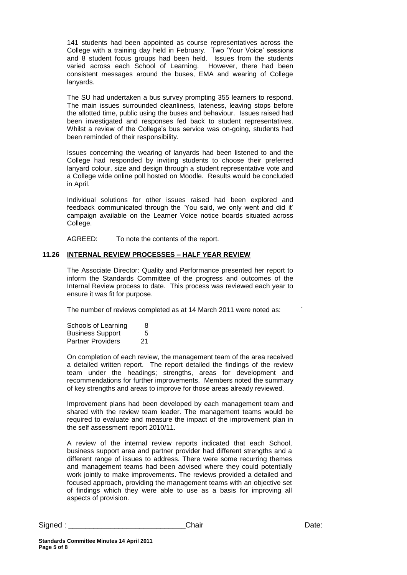141 students had been appointed as course representatives across the College with a training day held in February. Two 'Your Voice' sessions and 8 student focus groups had been held. Issues from the students varied across each School of Learning. However, there had been consistent messages around the buses, EMA and wearing of College lanyards.

The SU had undertaken a bus survey prompting 355 learners to respond. The main issues surrounded cleanliness, lateness, leaving stops before the allotted time, public using the buses and behaviour. Issues raised had been investigated and responses fed back to student representatives. Whilst a review of the College's bus service was on-going, students had been reminded of their responsibility.

Issues concerning the wearing of lanyards had been listened to and the College had responded by inviting students to choose their preferred lanyard colour, size and design through a student representative vote and a College wide online poll hosted on Moodle. Results would be concluded in April.

Individual solutions for other issues raised had been explored and feedback communicated through the 'You said, we only went and did it' campaign available on the Learner Voice notice boards situated across College.

AGREED: To note the contents of the report.

#### **11.26 INTERNAL REVIEW PROCESSES – HALF YEAR REVIEW**

The Associate Director: Quality and Performance presented her report to inform the Standards Committee of the progress and outcomes of the Internal Review process to date. This process was reviewed each year to ensure it was fit for purpose.

The number of reviews completed as at 14 March 2011 were noted as:

| Schools of Learning      | 8  |
|--------------------------|----|
| <b>Business Support</b>  | 5  |
| <b>Partner Providers</b> | 21 |

On completion of each review, the management team of the area received a detailed written report. The report detailed the findings of the review team under the headings; strengths, areas for development and recommendations for further improvements. Members noted the summary of key strengths and areas to improve for those areas already reviewed.

Improvement plans had been developed by each management team and shared with the review team leader. The management teams would be required to evaluate and measure the impact of the improvement plan in the self assessment report 2010/11.

A review of the internal review reports indicated that each School, business support area and partner provider had different strengths and a different range of issues to address. There were some recurring themes and management teams had been advised where they could potentially work jointly to make improvements. The reviews provided a detailed and focused approach, providing the management teams with an objective set of findings which they were able to use as a basis for improving all aspects of provision.

`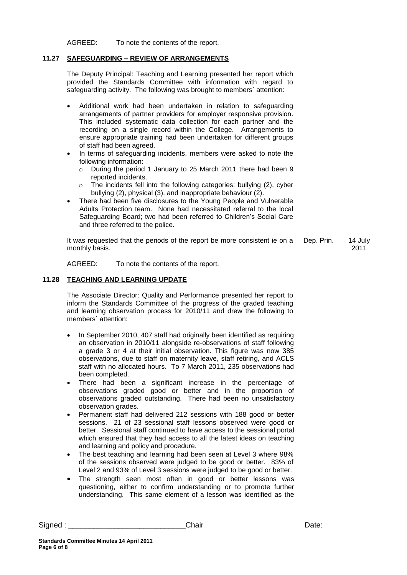|       | To note the contents of the report.<br>AGREED:                                                                                                                                                                                                                                                                                                                                                                                                                                                                                                                                                                                                                                                                                                                                                                                                                                                                                                                                                                                                                                                                                                                                                                                                                                                                                                                                                                             |            |                 |
|-------|----------------------------------------------------------------------------------------------------------------------------------------------------------------------------------------------------------------------------------------------------------------------------------------------------------------------------------------------------------------------------------------------------------------------------------------------------------------------------------------------------------------------------------------------------------------------------------------------------------------------------------------------------------------------------------------------------------------------------------------------------------------------------------------------------------------------------------------------------------------------------------------------------------------------------------------------------------------------------------------------------------------------------------------------------------------------------------------------------------------------------------------------------------------------------------------------------------------------------------------------------------------------------------------------------------------------------------------------------------------------------------------------------------------------------|------------|-----------------|
| 11.27 | <b>SAFEGUARDING - REVIEW OF ARRANGEMENTS</b>                                                                                                                                                                                                                                                                                                                                                                                                                                                                                                                                                                                                                                                                                                                                                                                                                                                                                                                                                                                                                                                                                                                                                                                                                                                                                                                                                                               |            |                 |
|       | The Deputy Principal: Teaching and Learning presented her report which<br>provided the Standards Committee with information with regard to<br>safeguarding activity. The following was brought to members' attention:                                                                                                                                                                                                                                                                                                                                                                                                                                                                                                                                                                                                                                                                                                                                                                                                                                                                                                                                                                                                                                                                                                                                                                                                      |            |                 |
|       | Additional work had been undertaken in relation to safeguarding<br>arrangements of partner providers for employer responsive provision.<br>This included systematic data collection for each partner and the<br>recording on a single record within the College. Arrangements to<br>ensure appropriate training had been undertaken for different groups<br>of staff had been agreed.<br>In terms of safeguarding incidents, members were asked to note the<br>$\bullet$<br>following information:<br>During the period 1 January to 25 March 2011 there had been 9<br>$\circ$<br>reported incidents.<br>The incidents fell into the following categories: bullying (2), cyber<br>$\circ$<br>bullying (2), physical (3), and inappropriate behaviour (2).<br>There had been five disclosures to the Young People and Vulnerable<br>$\bullet$<br>Adults Protection team. None had necessitated referral to the local<br>Safeguarding Board; two had been referred to Children's Social Care<br>and three referred to the police.                                                                                                                                                                                                                                                                                                                                                                                            |            |                 |
|       | It was requested that the periods of the report be more consistent ie on a<br>monthly basis.                                                                                                                                                                                                                                                                                                                                                                                                                                                                                                                                                                                                                                                                                                                                                                                                                                                                                                                                                                                                                                                                                                                                                                                                                                                                                                                               | Dep. Prin. | 14 July<br>2011 |
|       | AGREED:<br>To note the contents of the report.                                                                                                                                                                                                                                                                                                                                                                                                                                                                                                                                                                                                                                                                                                                                                                                                                                                                                                                                                                                                                                                                                                                                                                                                                                                                                                                                                                             |            |                 |
| 11.28 | <b>TEACHING AND LEARNING UPDATE</b>                                                                                                                                                                                                                                                                                                                                                                                                                                                                                                                                                                                                                                                                                                                                                                                                                                                                                                                                                                                                                                                                                                                                                                                                                                                                                                                                                                                        |            |                 |
|       | The Associate Director: Quality and Performance presented her report to<br>inform the Standards Committee of the progress of the graded teaching<br>and learning observation process for 2010/11 and drew the following to<br>members' attention:                                                                                                                                                                                                                                                                                                                                                                                                                                                                                                                                                                                                                                                                                                                                                                                                                                                                                                                                                                                                                                                                                                                                                                          |            |                 |
|       | In September 2010, 407 staff had originally been identified as requiring<br>an observation in 2010/11 alongside re-observations of staff following<br>a grade 3 or 4 at their initial observation. This figure was now 385<br>observations, due to staff on maternity leave, staff retiring, and ACLS<br>staff with no allocated hours. To 7 March 2011, 235 observations had<br>been completed.<br>There had been a significant increase in the percentage of<br>$\bullet$<br>observations graded good or better and in the proportion of<br>observations graded outstanding. There had been no unsatisfactory<br>observation grades.<br>Permanent staff had delivered 212 sessions with 188 good or better<br>$\bullet$<br>sessions. 21 of 23 sessional staff lessons observed were good or<br>better. Sessional staff continued to have access to the sessional portal<br>which ensured that they had access to all the latest ideas on teaching<br>and learning and policy and procedure.<br>The best teaching and learning had been seen at Level 3 where 98%<br>of the sessions observed were judged to be good or better. 83% of<br>Level 2 and 93% of Level 3 sessions were judged to be good or better.<br>The strength seen most often in good or better lessons was<br>questioning, either to confirm understanding or to promote further<br>understanding. This same element of a lesson was identified as the |            |                 |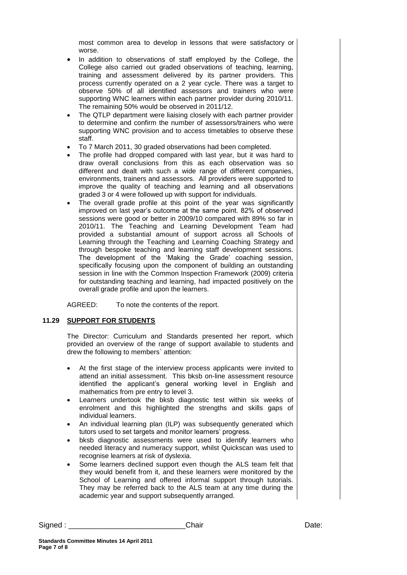most common area to develop in lessons that were satisfactory or worse.

- In addition to observations of staff employed by the College, the College also carried out graded observations of teaching, learning, training and assessment delivered by its partner providers. This process currently operated on a 2 year cycle. There was a target to observe 50% of all identified assessors and trainers who were supporting WNC learners within each partner provider during 2010/11. The remaining 50% would be observed in 2011/12.
- The QTLP department were liaising closely with each partner provider to determine and confirm the number of assessors/trainers who were supporting WNC provision and to access timetables to observe these staff.
- To 7 March 2011, 30 graded observations had been completed.
- The profile had dropped compared with last year, but it was hard to draw overall conclusions from this as each observation was so different and dealt with such a wide range of different companies, environments, trainers and assessors. All providers were supported to improve the quality of teaching and learning and all observations graded 3 or 4 were followed up with support for individuals.
- The overall grade profile at this point of the year was significantly improved on last year's outcome at the same point. 82% of observed sessions were good or better in 2009/10 compared with 89% so far in 2010/11. The Teaching and Learning Development Team had provided a substantial amount of support across all Schools of Learning through the Teaching and Learning Coaching Strategy and through bespoke teaching and learning staff development sessions. The development of the 'Making the Grade' coaching session, specifically focusing upon the component of building an outstanding session in line with the Common Inspection Framework (2009) criteria for outstanding teaching and learning, had impacted positively on the overall grade profile and upon the learners.

AGREED: To note the contents of the report.

## **11.29 SUPPORT FOR STUDENTS**

The Director: Curriculum and Standards presented her report, which provided an overview of the range of support available to students and drew the following to members` attention:

- At the first stage of the interview process applicants were invited to attend an initial assessment. This bksb on-line assessment resource identified the applicant's general working level in English and mathematics from pre entry to level 3.
- Learners undertook the bksb diagnostic test within six weeks of enrolment and this highlighted the strengths and skills gaps of individual learners.
- An individual learning plan (ILP) was subsequently generated which tutors used to set targets and monitor learners' progress.
- bksb diagnostic assessments were used to identify learners who needed literacy and numeracy support, whilst Quickscan was used to recognise learners at risk of dyslexia.
- Some learners declined support even though the ALS team felt that they would benefit from it, and these learners were monitored by the School of Learning and offered informal support through tutorials. They may be referred back to the ALS team at any time during the academic year and support subsequently arranged.